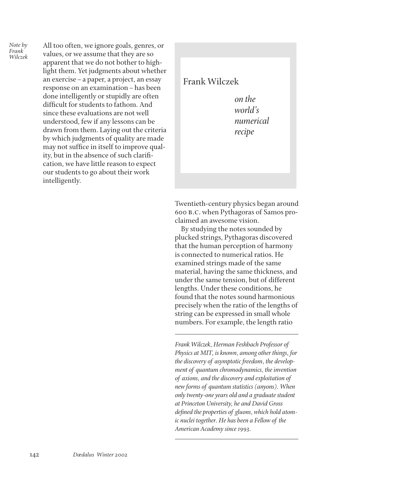*Note by Frank Wilczek* All too often, we ignore goals, genres, or values, or we assume that they are so apparent that we do not bother to highlight them. Yet judgments about whether an exercise–a paper, a project, an essay response on an examination–has been done intelligently or stupidly are often difficult for students to fathom. And since these evaluations are not well understood, few if any lessons can be drawn from them. Laying out the criteria by which judgments of quality are made may not suffice in itself to improve quality, but in the absence of such clarification, we have little reason to expect our students to go about their work intelligently.

## Frank Wilczek

*on the world's numerical recipe*

Twentieth-century physics began around 600 b.c. when Pythagoras of Samos proclaimed an awesome vision.

By studying the notes sounded by plucked strings, Pythagoras discovered that the human perception of harmony is connected to numerical ratios. He examined strings made of the same material, having the same thickness, and under the same tension, but of different lengths. Under these conditions, he found that the notes sound harmonious precisely when the ratio of the lengths of string can be expressed in small whole numbers. For example, the length ratio

*Frank Wilczek, Herman Feshbach Professor of Physics at MIT, is known, among other things, for the discovery of asymptotic freedom, the development of quantum chromodynamics, the invention of axions, and the discovery and exploitation of new forms of quantum statistics (anyons). When only twenty-one years old and a graduate student at Princeton University, he and David Gross* defined the properties of gluons, which hold atom*ic nuclei together. He has been a Fellow of the American Academy since 1993.*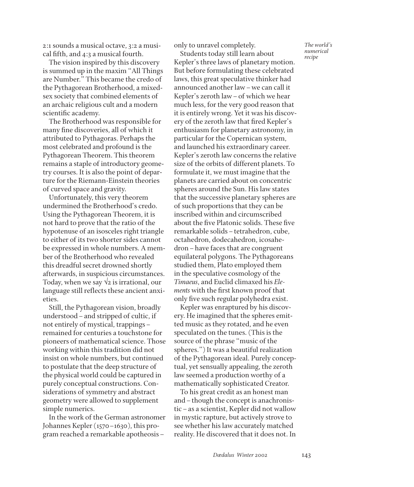2:1 sounds a musical octave, 3:2 a musical fifth, and  $4:3$  a musical fourth.

The vision inspired by this discovery is summed up in the maxim "All Things are Number." This became the credo of the Pythagorean Brotherhood, a mixedsex society that combined elements of an archaic religious cult and a modern scientific academy.

The Brotherhood was responsible for many fine discoveries, all of which it attributed to Pythagoras. Perhaps the most celebrated and profound is the Pythagorean Theorem. This theorem remains a staple of introductory geometry courses. It is also the point of departure for the Riemann-Einstein theories of curved space and gravity.

Unfortunately, this very theorem undermined the Brotherhood's credo. Using the Pythagorean Theorem, it is not hard to prove that the ratio of the hypotenuse of an isosceles right triangle to either of its two shorter sides cannot be expressed in whole numbers. A member of the Brotherhood who revealed this dreadful secret drowned shortly afterwards, in suspicious circumstances. Today, when we say  $\sqrt{2}$  is irrational, our language still reflects these ancient anxieties.

Still, the Pythagorean vision, broadly understood–and stripped of cultic, if not entirely of mystical, trappings– remained for centuries a touchstone for pioneers of mathematical science. Those working within this tradition did not insist on whole numbers, but continued to postulate that the deep structure of the physical world could be captured in purely conceptual constructions. Considerations of symmetry and abstract geometry were allowed to supplement simple numerics.

In the work of the German astronomer Johannes Kepler (1570–1630), this program reached a remarkable apotheosis–

only to unravel completely.

Students today still learn about Kepler's three laws of planetary motion. But before formulating these celebrated laws, this great speculative thinker had announced another law–we can call it Kepler's zeroth law–of which we hear much less, for the very good reason that it is entirely wrong. Yet it was his discovery of the zeroth law that fired Kepler's enthusiasm for planetary astronomy, in particular for the Copernican system, and launched his extraordinary career. Kepler's zeroth law concerns the relative size of the orbits of different planets. To formulate it, we must imagine that the planets are carried about on concentric spheres around the Sun. His law states that the successive planetary spheres are of such proportions that they can be inscribed within and circumscribed about the five Platonic solids. These five remarkable solids–tetrahedron, cube, octahedron, dodecahedron, icosahedron–have faces that are congruent equilateral polygons. The Pythagoreans studied them, Plato employed them in the speculative cosmology of the *Timaeus*, and Euclid climaxed his *Elements* with the first known proof that only five such regular polyhedra exist.

Kepler was enraptured by his discovery. He imagined that the spheres emitted music as they rotated, and he even speculated on the tunes. (This is the source of the phrase "music of the spheres.") It was a beautiful realization of the Pythagorean ideal. Purely conceptual, yet sensually appealing, the zeroth law seemed a production worthy of a mathematically sophisticated Creator.

To his great credit as an honest man and–though the concept is anachronistic–as a scientist, Kepler did not wallow in mystic rapture, but actively strove to see whether his law accurately matched reality. He discovered that it does not. In

*The world's numerical recipe*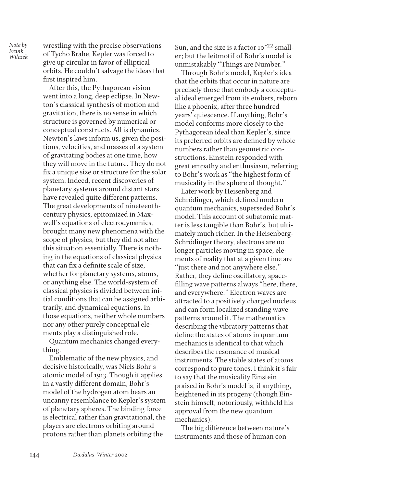*Note by Frank Wilczek* wrestling with the precise observations of Tycho Brahe, Kepler was forced to give up circular in favor of elliptical orbits. He couldn't salvage the ideas that first inspired him.

After this, the Pythagorean vision went into a long, deep eclipse. In Newton's classical synthesis of motion and gravitation, there is no sense in which structure is governed by numerical or conceptual constructs. All is dynamics. Newton's laws inform us, given the positions, velocities, and masses of a system of gravitating bodies at one time, how they will move in the future. They do not fix a unique size or structure for the solar system. Indeed, recent discoveries of planetary systems around distant stars have revealed quite different patterns. The great developments of nineteenthcentury physics, epitomized in Maxwell's equations of electrodynamics, brought many new phenomena with the scope of physics, but they did not alter this situation essentially. There is nothing in the equations of classical physics that can fix a definite scale of size, whether for planetary systems, atoms, or anything else. The world-system of classical physics is divided between initial conditions that can be assigned arbitrarily, and dynamical equations. In those equations, neither whole numbers nor any other purely conceptual elements play a distinguished role.

Quantum mechanics changed everything.

Emblematic of the new physics, and decisive historically, was Niels Bohr's atomic model of 1913. Though it applies in a vastly different domain, Bohr's model of the hydrogen atom bears an uncanny resemblance to Kepler's system of planetary spheres. The binding force is electrical rather than gravitational, the players are electrons orbiting around protons rather than planets orbiting the

Sun, and the size is a factor  $10^{-22}$  smaller; but the leitmotif of Bohr's model is unmistakably "Things are Number."

Through Bohr's model, Kepler's idea that the orbits that occur in nature are precisely those that embody a conceptual ideal emerged from its embers, reborn like a phoenix, after three hundred years' quiescence. If anything, Bohr's model conforms more closely to the Pythagorean ideal than Kepler's, since its preferred orbits are defined by whole numbers rather than geometric constructions. Einstein responded with great empathy and enthusiasm, referring to Bohr's work as "the highest form of musicality in the sphere of thought."

Later work by Heisenberg and Schrödinger, which defined modern quantum mechanics, superseded Bohr's model. This account of subatomic matter is less tangible than Bohr's, but ultimately much richer. In the Heisenberg-Schrödinger theory, electrons are no longer particles moving in space, elements of reality that at a given time are "just there and not anywhere else." Rather, they define oscillatory, spacefilling wave patterns always "here, there, and everywhere." Electron waves are attracted to a positively charged nucleus and can form localized standing wave patterns around it. The mathematics describing the vibratory patterns that define the states of atoms in quantum mechanics is identical to that which describes the resonance of musical instruments. The stable states of atoms correspond to pure tones. I think it's fair to say that the musicality Einstein praised in Bohr's model is, if anything, heightened in its progeny (though Einstein himself, notoriously, withheld his approval from the new quantum mechanics).

The big difference between nature's instruments and those of human con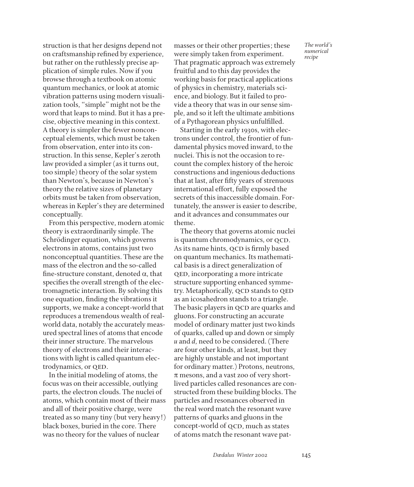struction is that her designs depend not on craftsmanship refined by experience, but rather on the ruthlessly precise application of simple rules. Now if you browse through a textbook on atomic quantum mechanics, or look at atomic vibration patterns using modern visualization tools, "simple" might not be the word that leaps to mind. But it has a precise, objective meaning in this context. A theory is simpler the fewer nonconceptual elements, which must be taken from observation, enter into its construction. In this sense, Kepler's zeroth law provided a simpler (as it turns out, too simple) theory of the solar system than Newton's, because in Newton's theory the relative sizes of planetary orbits must be taken from observation, whereas in Kepler's they are determined conceptually.

From this perspective, modern atomic theory is extraordinarily simple. The Schrödinger equation, which governs electrons in atoms, contains just two nonconceptual quantities. These are the mass of the electron and the so-called fine-structure constant, denoted  $\alpha$ , that specifies the overall strength of the electromagnetic interaction. By solving this one equation, finding the vibrations it supports, we make a concept-world that reproduces a tremendous wealth of realworld data, notably the accurately measured spectral lines of atoms that encode their inner structure. The marvelous theory of electrons and their interactions with light is called quantum electrodynamics, or QED.

In the initial modeling of atoms, the focus was on their accessible, outlying parts, the electron clouds. The nuclei of atoms, which contain most of their mass and all of their positive charge, were treated as so many tiny (but very heavy!) black boxes, buried in the core. There was no theory for the values of nuclear

masses or their other properties; these were simply taken from experiment. That pragmatic approach was extremely fruitful and to this day provides the working basis for practical applications of physics in chemistry, materials science, and biology. But it failed to provide a theory that was in our sense simple, and so it left the ultimate ambitions of a Pythagorean physics unfulfilled.

Starting in the early 1930s, with electrons under control, the frontier of fundamental physics moved inward, to the nuclei. This is not the occasion to recount the complex history of the heroic constructions and ingenious deductions that at last, after fifty years of strenuous international effort, fully exposed the secrets of this inaccessible domain. Fortunately, the answer is easier to describe, and it advances and consummates our theme.

The theory that governs atomic nuclei is quantum chromodynamics, or QCD. As its name hints, QCD is firmly based on quantum mechanics. Its mathematical basis is a direct generalization of qed, incorporating a more intricate structure supporting enhanced symmetry. Metaphorically, QCD stands to QED as an icosahedron stands to a triangle. The basic players in QCD are quarks and gluons. For constructing an accurate model of ordinary matter just two kinds of quarks, called up and down or simply *u* and *d,* need to be considered. (There are four other kinds, at least, but they are highly unstable and not important for ordinary matter.) Protons, neutrons,  $\pi$  mesons, and a vast zoo of very shortlived particles called resonances are constructed from these building blocks. The particles and resonances observed in the real word match the resonant wave patterns of quarks and gluons in the concept-world of QCD, much as states of atoms match the resonant wave pat-

*The world's numerical recipe*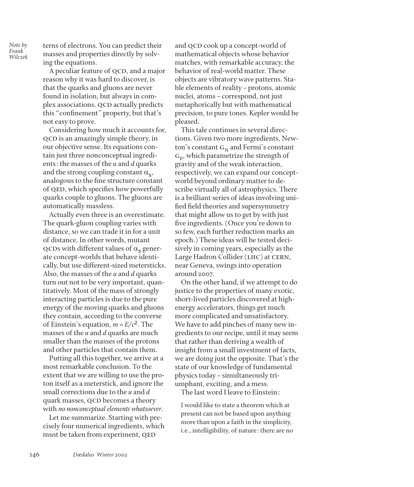terns of electrons. You can predict their masses and properties directly by solving the equations.

A peculiar feature of QCD, and a major reason why it was hard to discover, is that the quarks and gluons are never found in isolation, but always in complex associations. QCD actually predicts this "confinement" property, but that's not easy to prove.

Considering how much it accounts for, QCD is an amazingly simple theory, in our objective sense. Its equations contain just three nonconceptual ingredients: the masses of the *u* and *d* quarks and the strong coupling constant  $\alpha_{\rm s}$ , analogous to the fine structure constant of QED, which specifies how powerfully quarks couple to gluons. The gluons are automatically massless.

Actually even three is an overestimate. The quark-gluon coupling varies with distance, so we can trade it in for a unit of distance. In other words, mutant QCDs with different values of  $\alpha_s$  generate concept-worlds that behave identically, but use different-sized metersticks. Also, the masses of the *u* and *d* quarks turn out not to be very important, quantitatively. Most of the mass of strongly interacting particles is due to the pure energy of the moving quarks and gluons they contain, according to the converse of Einstein's equation,  $m = E/c^2$ . The masses of the *u* and *d* quarks are much smaller than the masses of the protons and other particles that contain them.

Putting all this together, we arrive at a most remarkable conclusion. To the extent that we are willing to use the proton itself as a meterstick, and ignore the small corrections due to the *u* and *d* quark masses, QCD becomes a theory with *no nonconceptual elements whatsoever*.

Let me summarize. Starting with precisely four numerical ingredients, which must be taken from experiment, QED

and QCD cook up a concept-world of mathematical objects whose behavior matches, with remarkable accuracy, the behavior of real-world matter. These objects are vibratory wave patterns. Stable elements of reality–protons, atomic nuclei, atoms–correspond, not just metaphorically but with mathematical precision, to pure tones. Kepler would be pleased.

This tale continues in several directions. Given two more ingredients, Newton's constant  $G_N$  and Fermi's constant  $G_F$ , which parametrize the strength of gravity and of the weak interaction, respectively, we can expand our conceptworld beyond ordinary matter to describe virtually all of astrophysics. There is a brilliant series of ideas involving uni fied field theories and supersymmetry that might allow us to get by with just five ingredients. (Once you're down to so few, each further reduction marks an epoch.) These ideas will be tested decisively in coming years, especially as the Large Hadron Collider (LHC) at CERN, near Geneva, swings into operation around 2007.

On the other hand, if we attempt to do justice to the properties of many exotic, short-lived particles discovered at highenergy accelerators, things get much more complicated and unsatisfactory. We have to add pinches of many new ingredients to our recipe, until it may seem that rather than deriving a wealth of insight from a small investment of facts, we are doing just the opposite. That's the state of our knowledge of fundamental physics today–simultaneously triumphant, exciting, and a mess.

The last word I leave to Einstein:

I would like to state a theorem which at present can not be based upon anything more than upon a faith in the simplicity, i.e., intelligibility, of nature: there are no